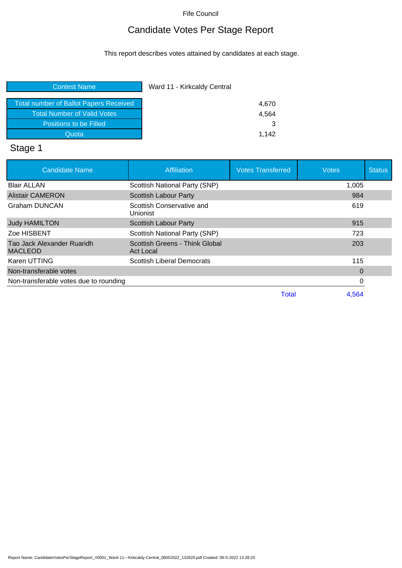## Candidate Votes Per Stage Report

This report describes votes attained by candidates at each stage.

| <b>Contest Name</b>                           | Ward 11 - Kirkcaldy Central |
|-----------------------------------------------|-----------------------------|
| <b>Total number of Ballot Papers Received</b> | 4,670                       |
| <b>Total Number of Valid Votes</b>            | 4,564                       |
| Positions to be Filled                        | 3                           |
| Quota                                         | 1.142                       |

# Stage 1

| <b>Candidate Name</b>                        | Affiliation                                 | <b>Votes Transferred</b> | <b>Votes</b> | <b>Status</b> |
|----------------------------------------------|---------------------------------------------|--------------------------|--------------|---------------|
| <b>Blair ALLAN</b>                           | Scottish National Party (SNP)               |                          | 1,005        |               |
| <b>Alistair CAMERON</b>                      | <b>Scottish Labour Party</b>                |                          | 984          |               |
| <b>Graham DUNCAN</b>                         | Scottish Conservative and<br>Unionist       |                          | 619          |               |
| <b>Judy HAMILTON</b>                         | Scottish Labour Party                       |                          | 915          |               |
| Zoe HISBENT                                  | <b>Scottish National Party (SNP)</b>        |                          | 723          |               |
| Tao Jack Alexander Ruaridh<br><b>MACLEOD</b> | Scottish Greens - Think Global<br>Act Local |                          | 203          |               |
| Karen UTTING                                 | <b>Scottish Liberal Democrats</b>           |                          | 115          |               |
| Non-transferable votes                       |                                             |                          | 0            |               |
| Non-transferable votes due to rounding       |                                             |                          |              |               |
|                                              |                                             | Total                    | 4.564        |               |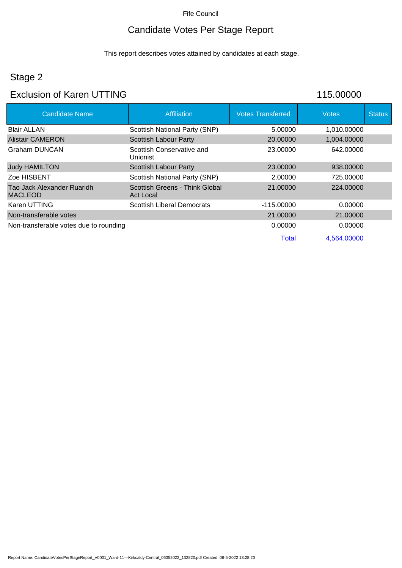## Candidate Votes Per Stage Report

This report describes votes attained by candidates at each stage.

## Stage 2

### Exclusion of Karen UTTING 115.00000

| <b>Candidate Name</b>                  | Affiliation                                 | <b>Votes Transferred</b> | <b>Votes</b> | <b>Status</b> |
|----------------------------------------|---------------------------------------------|--------------------------|--------------|---------------|
| <b>Blair ALLAN</b>                     | Scottish National Party (SNP)               | 5.00000                  | 1,010.00000  |               |
| Alistair CAMERON                       | <b>Scottish Labour Party</b>                | 20.00000                 | 1,004.00000  |               |
| Graham DUNCAN                          | Scottish Conservative and<br>Unionist       | 23.00000                 | 642.00000    |               |
| <b>Judy HAMILTON</b>                   | <b>Scottish Labour Party</b>                | 23,00000                 | 938,00000    |               |
| Zoe HISBENT                            | Scottish National Party (SNP)               | 2.00000                  | 725.00000    |               |
| Tao Jack Alexander Ruaridh<br>MACLEOD  | Scottish Greens - Think Global<br>Act Local | 21.00000                 | 224,00000    |               |
| Karen UTTING                           | <b>Scottish Liberal Democrats</b>           | $-115.00000$             | 0.00000      |               |
| Non-transferable votes                 |                                             | 21.00000                 | 21.00000     |               |
| Non-transferable votes due to rounding |                                             | 0.00000                  | 0.00000      |               |
|                                        |                                             | Total                    | 4,564.00000  |               |

Report Name: CandidateVotesPerStageReport\_V0001\_Ward-11---Kirkcaldy-Central\_06052022\_132820.pdf Created: 06-5-2022 13:28:20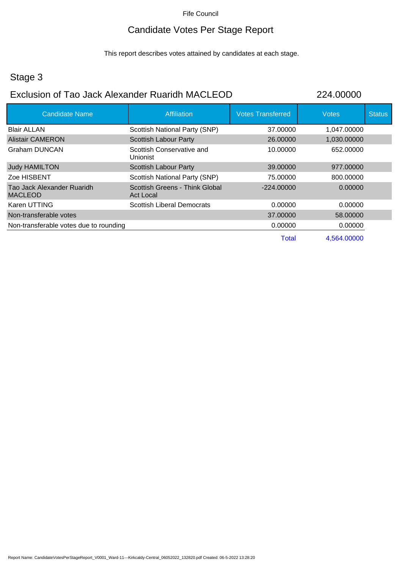### Candidate Votes Per Stage Report

This report describes votes attained by candidates at each stage.

## Stage 3

### Exclusion of Tao Jack Alexander Ruaridh MACLEOD 224.00000

| <b>Candidate Name</b>                        | <b>Affiliation</b>                                 | <b>Votes Transferred</b> | <b>Votes</b> | <b>Status</b> |
|----------------------------------------------|----------------------------------------------------|--------------------------|--------------|---------------|
| <b>Blair ALLAN</b>                           | <b>Scottish National Party (SNP)</b>               | 37.00000                 | 1,047.00000  |               |
| <b>Alistair CAMERON</b>                      | <b>Scottish Labour Party</b>                       | 26,00000                 | 1,030.00000  |               |
| Graham DUNCAN                                | Scottish Conservative and<br><b>Unionist</b>       | 10.00000                 | 652.00000    |               |
| <b>Judy HAMILTON</b>                         | <b>Scottish Labour Party</b>                       | 39,00000                 | 977.00000    |               |
| Zoe HISBENT                                  | Scottish National Party (SNP)                      | 75.00000                 | 800.00000    |               |
| Tao Jack Alexander Ruaridh<br><b>MACLEOD</b> | Scottish Greens - Think Global<br><b>Act Local</b> | $-224.00000$             | 0.00000      |               |
| Karen UTTING                                 | <b>Scottish Liberal Democrats</b>                  | 0.00000                  | 0.00000      |               |
| Non-transferable votes                       |                                                    | 37,00000                 | 58,00000     |               |
| Non-transferable votes due to rounding       |                                                    | 0.00000                  | 0.00000      |               |
|                                              |                                                    | <b>Total</b>             | 4,564.00000  |               |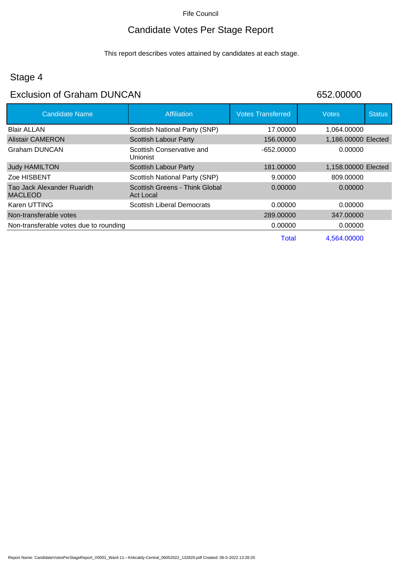## Candidate Votes Per Stage Report

This report describes votes attained by candidates at each stage.

## Stage 4

### Exclusion of Graham DUNCAN 652.00000

| <b>Candidate Name</b>                        | <b>Affiliation</b>                                 | <b>Votes Transferred</b> | <b>Votes</b>        | <b>Status</b> |
|----------------------------------------------|----------------------------------------------------|--------------------------|---------------------|---------------|
| <b>Blair ALLAN</b>                           | Scottish National Party (SNP)                      | 17.00000                 | 1,064.00000         |               |
| <b>Alistair CAMERON</b>                      | <b>Scottish Labour Party</b>                       | 156.00000                | 1,186.00000 Elected |               |
| <b>Graham DUNCAN</b>                         | Scottish Conservative and<br>Unionist              | -652.00000               | 0.00000             |               |
| <b>Judy HAMILTON</b>                         | <b>Scottish Labour Party</b>                       | 181.00000                | 1,158.00000 Elected |               |
| Zoe HISBENT                                  | Scottish National Party (SNP)                      | 9.00000                  | 809.00000           |               |
| Tao Jack Alexander Ruaridh<br><b>MACLEOD</b> | Scottish Greens - Think Global<br><b>Act Local</b> | 0.00000                  | 0.00000             |               |
| Karen UTTING                                 | <b>Scottish Liberal Democrats</b>                  | 0.00000                  | 0.00000             |               |
| Non-transferable votes                       |                                                    | 289,00000                | 347,00000           |               |
| Non-transferable votes due to rounding       |                                                    | 0.00000                  | 0.00000             |               |
|                                              |                                                    | Total                    | 4.564.00000         |               |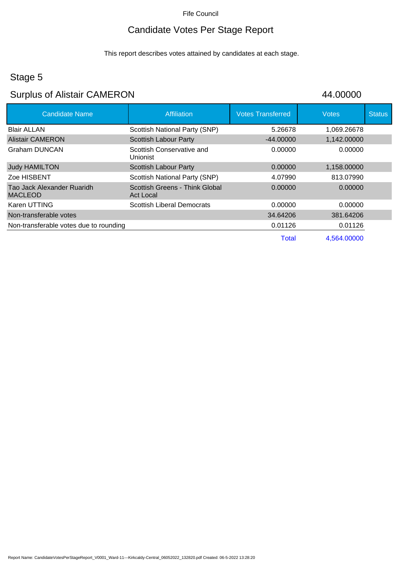## Candidate Votes Per Stage Report

This report describes votes attained by candidates at each stage.

## Stage 5

# Surplus of Alistair CAMERON 44.00000

| <b>Candidate Name</b>                        | Affiliation                                  | <b>Votes Transferred</b> | <b>Votes</b> | <b>Status</b> |
|----------------------------------------------|----------------------------------------------|--------------------------|--------------|---------------|
| <b>Blair ALLAN</b>                           | Scottish National Party (SNP)                | 5.26678                  | 1,069.26678  |               |
| <b>Alistair CAMERON</b>                      | <b>Scottish Labour Party</b>                 | $-44.00000$              | 1,142.00000  |               |
| Graham DUNCAN                                | Scottish Conservative and<br><b>Unionist</b> | 0.00000                  | 0.00000      |               |
| <b>Judy HAMILTON</b>                         | Scottish Labour Party                        | 0.00000                  | 1,158.00000  |               |
| Zoe HISBENT                                  | Scottish National Party (SNP)                | 4.07990                  | 813.07990    |               |
| Tao Jack Alexander Ruaridh<br><b>MACLEOD</b> | Scottish Greens - Think Global<br>Act Local  | 0.00000                  | 0.00000      |               |
| Karen UTTING                                 | <b>Scottish Liberal Democrats</b>            | 0.00000                  | 0.00000      |               |
| Non-transferable votes                       |                                              | 34.64206                 | 381.64206    |               |
| Non-transferable votes due to rounding       |                                              | 0.01126                  | 0.01126      |               |
|                                              |                                              | Total                    | 4.564.00000  |               |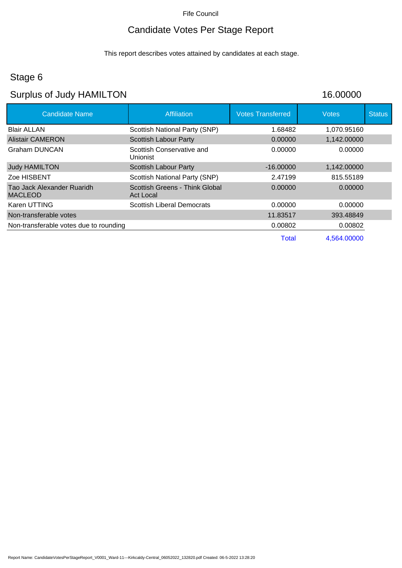## Candidate Votes Per Stage Report

This report describes votes attained by candidates at each stage.

## Stage 6

## Surplus of Judy HAMILTON 16.00000

| <b>Candidate Name</b>                        | <b>Affiliation</b>                                 | <b>Votes Transferred</b> | <b>Votes</b> | <b>Status</b> |
|----------------------------------------------|----------------------------------------------------|--------------------------|--------------|---------------|
| <b>Blair ALLAN</b>                           | Scottish National Party (SNP)                      | 1.68482                  | 1,070.95160  |               |
| <b>Alistair CAMERON</b>                      | Scottish Labour Party                              | 0.00000                  | 1,142.00000  |               |
| Graham DUNCAN                                | Scottish Conservative and<br><b>Unionist</b>       | 0.00000                  | 0.00000      |               |
| <b>Judy HAMILTON</b>                         | Scottish Labour Party                              | $-16,00000$              | 1,142.00000  |               |
| Zoe HISBENT                                  | Scottish National Party (SNP)                      | 2.47199                  | 815.55189    |               |
| Tao Jack Alexander Ruaridh<br><b>MACLEOD</b> | Scottish Greens - Think Global<br><b>Act Local</b> | 0.00000                  | 0.00000      |               |
| Karen UTTING                                 | Scottish Liberal Democrats                         | 0.00000                  | 0.00000      |               |
| Non-transferable votes                       |                                                    | 11.83517                 | 393.48849    |               |
| Non-transferable votes due to rounding       |                                                    | 0.00802                  | 0.00802      |               |
|                                              |                                                    | Total                    | 4,564.00000  |               |